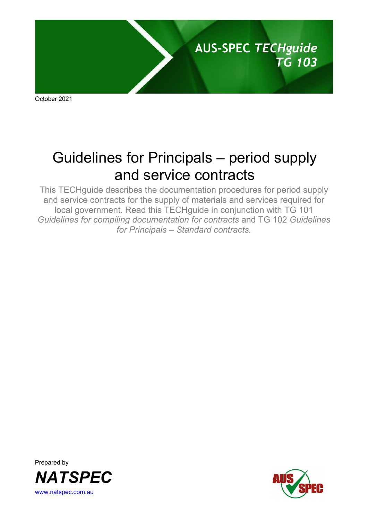

October 2021

# Guidelines for Principals – period supply and service contracts

This TECHguide describes the documentation procedures for period supply and service contracts for the supply of materials and services required for local government. Read this TECHguide in conjunction with TG 101 *Guidelines for compiling documentation for contracts* and TG 102 *Guidelines for Principals – Standard contracts.*



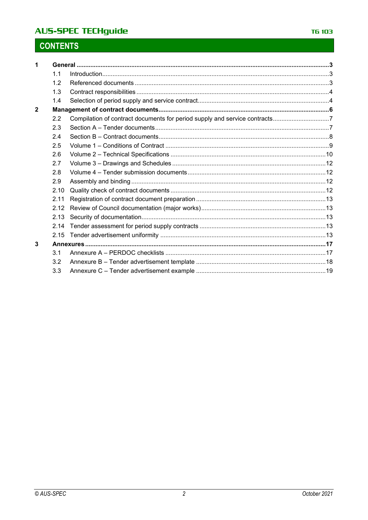## **AUS-SPEC TECHguide**

# **CONTENTS**

| 1              |      |  |
|----------------|------|--|
|                | 1.1  |  |
|                | 1.2  |  |
|                | 1.3  |  |
|                | 1.4  |  |
| $\overline{2}$ |      |  |
|                | 2.2  |  |
|                | 2.3  |  |
|                | 2.4  |  |
|                | 2.5  |  |
|                | 2.6  |  |
|                | 2.7  |  |
|                | 2.8  |  |
|                | 2.9  |  |
|                | 2.10 |  |
|                | 2.11 |  |
|                | 2.12 |  |
|                | 2.13 |  |
|                | 2.14 |  |
|                | 2.15 |  |
| 3              |      |  |
|                | 3.1  |  |
|                | 3.2  |  |
|                | 3.3  |  |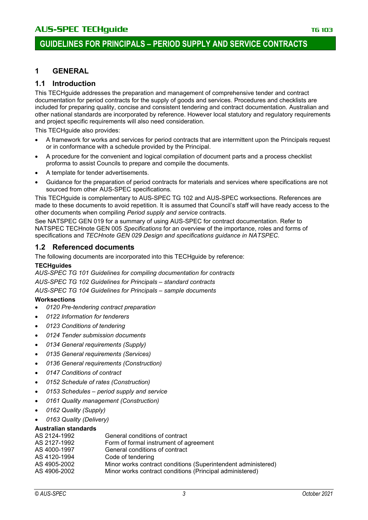### **1 GENERAL**

#### **1.1 Introduction**

This TECHguide addresses the preparation and management of comprehensive tender and contract documentation for period contracts for the supply of goods and services. Procedures and checklists are included for preparing quality, concise and consistent tendering and contract documentation. Australian and other national standards are incorporated by reference. However local statutory and regulatory requirements and project specific requirements will also need consideration.

This TECHquide also provides:

- A framework for works and services for period contracts that are intermittent upon the Principals request or in conformance with a schedule provided by the Principal.
- A procedure for the convenient and logical compilation of document parts and a process checklist proforma to assist Councils to prepare and compile the documents.
- A template for tender advertisements.
- Guidance for the preparation of period contracts for materials and services where specifications are not sourced from other AUS-SPEC specifications.

This TECHguide is complementary to AUS-SPEC TG 102 and AUS-SPEC worksections. References are made to these documents to avoid repetition. It is assumed that Council's staff will have ready access to the other documents when compiling *Period supply and service* contracts.

See NATSPEC GEN 019 for a summary of using AUS-SPEC for contract documentation. Refer to NATSPEC TECHnote GEN 005 *Specifications* for an overview of the importance, roles and forms of specifications and *TECHnote GEN 029 Design and specifications guidance in NATSPEC*.

#### **1.2 Referenced documents**

The following documents are incorporated into this TECHguide by reference:

#### **TECHguides**

*AUS-SPEC TG 101 Guidelines for compiling documentation for contracts AUS-SPEC TG 102 Guidelines for Principals* – *standard contracts AUS-SPEC TG 104 Guidelines for Principals – sample documents*

#### **Worksections**

- *0120 Pre-tendering contract preparation*
- *0122 Information for tenderers*
- *0123 Conditions of tendering*
- *0124 Tender submission documents*
- *0134 General requirements (Supply)*
- *0135 General requirements (Services)*
- *0136 General requirements (Construction)*
- *0147 Conditions of contract*
- *0152 Schedule of rates (Construction)*
- *0153 Schedules – period supply and service*
- *0161 Quality management (Construction)*
- *0162 Quality (Supply)*
- *0163 Quality (Delivery)*

#### **Australian standards**

| AS 2124-1992 | General conditions of contract                                |
|--------------|---------------------------------------------------------------|
| AS 2127-1992 | Form of formal instrument of agreement                        |
| AS 4000-1997 | General conditions of contract                                |
| AS 4120-1994 | Code of tendering                                             |
| AS 4905-2002 | Minor works contract conditions (Superintendent administered) |
| AS 4906-2002 | Minor works contract conditions (Principal administered)      |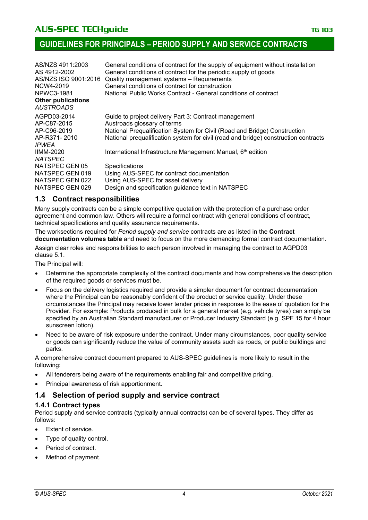| AS/NZS 4911:2003                              | General conditions of contract for the supply of equipment without installation     |
|-----------------------------------------------|-------------------------------------------------------------------------------------|
| AS 4912-2002                                  | General conditions of contract for the periodic supply of goods                     |
| AS/NZS ISO 9001:2016                          | Quality management systems - Requirements                                           |
| NCW4-2019                                     | General conditions of contract for construction                                     |
| NPWC3-1981                                    | National Public Works Contract - General conditions of contract                     |
| <b>Other publications</b><br><b>AUSTROADS</b> |                                                                                     |
| AGPD03-2014                                   | Guide to project delivery Part 3: Contract management                               |
| AP-C87-2015                                   | Austroads glossary of terms                                                         |
| AP-C96-2019                                   | National Prequalification System for Civil (Road and Bridge) Construction           |
| AP-R371-2010                                  | National prequalification system for civil (road and bridge) construction contracts |
| <b>IPWEA</b>                                  |                                                                                     |
| <b>IIMM-2020</b>                              | International Infrastructure Management Manual, 6 <sup>th</sup> edition             |
| <b>NATSPEC</b>                                |                                                                                     |
| NATSPEC GEN 05                                | <b>Specifications</b>                                                               |
| NATSPEC GEN 019                               | Using AUS-SPEC for contract documentation                                           |
| NATSPEC GEN 022                               | Using AUS-SPEC for asset delivery                                                   |
| NATSPEC GEN 029                               | Design and specification guidance text in NATSPEC                                   |
|                                               |                                                                                     |

#### **1.3 Contract responsibilities**

Many supply contracts can be a simple competitive quotation with the protection of a purchase order agreement and common law. Others will require a formal contract with general conditions of contract, technical specifications and quality assurance requirements.

The worksections required for *Period supply and service* contracts are as listed in the **Contract documentation volumes table** and need to focus on the more demanding formal contract documentation.

Assign clear roles and responsibilities to each person involved in managing the contract to AGPD03 clause 5.1.

The Principal will:

- Determine the appropriate complexity of the contract documents and how comprehensive the description of the required goods or services must be.
- Focus on the delivery logistics required and provide a simpler document for contract documentation where the Principal can be reasonably confident of the product or service quality. Under these circumstances the Principal may receive lower tender prices in response to the ease of quotation for the Provider. For example: Products produced in bulk for a general market (e.g. vehicle tyres) can simply be specified by an Australian Standard manufacturer or Producer Industry Standard (e.g. SPF 15 for 4 hour sunscreen lotion).
- Need to be aware of risk exposure under the contract. Under many circumstances, poor quality service or goods can significantly reduce the value of community assets such as roads, or public buildings and parks.

A comprehensive contract document prepared to AUS-SPEC guidelines is more likely to result in the following:

- All tenderers being aware of the requirements enabling fair and competitive pricing.
- Principal awareness of risk apportionment.

### **1.4 Selection of period supply and service contract**

#### **1.4.1 Contract types**

Period supply and service contracts (typically annual contracts) can be of several types. They differ as follows:

- Extent of service.
- Type of quality control.
- Period of contract.
- Method of payment.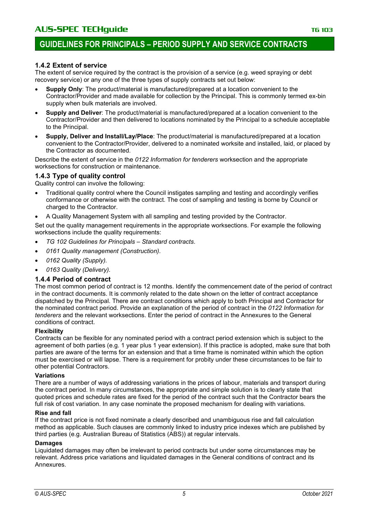#### **1.4.2 Extent of service**

The extent of service required by the contract is the provision of a service (e.g. weed spraying or debt recovery service) or any one of the three types of supply contracts set out below:

- **Supply Only**: The product/material is manufactured/prepared at a location convenient to the Contractor/Provider and made available for collection by the Principal. This is commonly termed ex-bin supply when bulk materials are involved.
- **Supply and Deliver**: The product/material is manufactured/prepared at a location convenient to the Contractor/Provider and then delivered to locations nominated by the Principal to a schedule acceptable to the Principal.
- **Supply, Deliver and Install/Lay/Place**: The product/material is manufactured/prepared at a location convenient to the Contractor/Provider, delivered to a nominated worksite and installed, laid, or placed by the Contractor as documented.

Describe the extent of service in the *0122 Information for tenderers* worksection and the appropriate worksections for construction or maintenance.

#### **1.4.3 Type of quality control**

Quality control can involve the following:

- Traditional quality control where the Council instigates sampling and testing and accordingly verifies conformance or otherwise with the contract. The cost of sampling and testing is borne by Council or charged to the Contractor.
- A Quality Management System with all sampling and testing provided by the Contractor.

Set out the quality management requirements in the appropriate worksections. For example the following worksections include the quality requirements:

- *TG 102 Guidelines for Principals – Standard contracts*.
- *0161 Quality management (Construction)*.
- *0162 Quality (Supply).*
- *0163 Quality (Delivery).*

#### **1.4.4 Period of contract**

The most common period of contract is 12 months. Identify the commencement date of the period of contract in the contract documents. It is commonly related to the date shown on the letter of contract acceptance dispatched by the Principal. There are contract conditions which apply to both Principal and Contractor for the nominated contract period. Provide an explanation of the period of contract in the *0122 Information for tenderers* and the relevant worksections. Enter the period of contract in the Annexures to the General conditions of contract.

#### **Flexibility**

Contracts can be flexible for any nominated period with a contract period extension which is subject to the agreement of both parties (e.g. 1 year plus 1 year extension). If this practice is adopted, make sure that both parties are aware of the terms for an extension and that a time frame is nominated within which the option must be exercised or will lapse. There is a requirement for probity under these circumstances to be fair to other potential Contractors.

#### **Variations**

There are a number of ways of addressing variations in the prices of labour, materials and transport during the contract period. In many circumstances, the appropriate and simple solution is to clearly state that quoted prices and schedule rates are fixed for the period of the contract such that the Contractor bears the full risk of cost variation. In any case nominate the proposed mechanism for dealing with variations.

#### **Rise and fall**

If the contract price is not fixed nominate a clearly described and unambiguous rise and fall calculation method as applicable. Such clauses are commonly linked to industry price indexes which are published by third parties (e.g. Australian Bureau of Statistics (ABS)) at regular intervals.

#### **Damages**

Liquidated damages may often be irrelevant to period contracts but under some circumstances may be relevant. Address price variations and liquidated damages in the General conditions of contract and its **Annexures**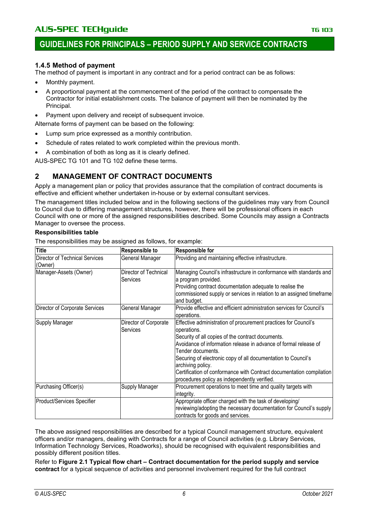#### **1.4.5 Method of payment**

The method of payment is important in any contract and for a period contract can be as follows:

- Monthly payment.
- A proportional payment at the commencement of the period of the contract to compensate the Contractor for initial establishment costs. The balance of payment will then be nominated by the Principal.
- Payment upon delivery and receipt of subsequent invoice.

Alternate forms of payment can be based on the following:

- Lump sum price expressed as a monthly contribution.
- Schedule of rates related to work completed within the previous month.
- A combination of both as long as it is clearly defined.

AUS-SPEC TG 101 and TG 102 define these terms.

### **2 MANAGEMENT OF CONTRACT DOCUMENTS**

Apply a management plan or policy that provides assurance that the compilation of contract documents is effective and efficient whether undertaken in-house or by external consultant services.

The management titles included below and in the following sections of the guidelines may vary from Council to Council due to differing management structures, however, there will be professional officers in each Council with one or more of the assigned responsibilities described. Some Councils may assign a Contracts Manager to oversee the process.

#### **Responsibilities table**

The responsibilities may be assigned as follows, for example:

| <b>Title</b>                                     | <b>Responsible to</b>             | <b>Responsible for</b>                                                                                                                                                                                                                                                                                                                                                                                                                     |
|--------------------------------------------------|-----------------------------------|--------------------------------------------------------------------------------------------------------------------------------------------------------------------------------------------------------------------------------------------------------------------------------------------------------------------------------------------------------------------------------------------------------------------------------------------|
| <b>Director of Technical Services</b><br>(Owner) | General Manager                   | Providing and maintaining effective infrastructure.                                                                                                                                                                                                                                                                                                                                                                                        |
| Manager-Assets (Owner)                           | Director of Technical<br>Services | Managing Council's infrastructure in conformance with standards and<br>a program provided.<br>Providing contract documentation adequate to realise the<br>commissioned supply or services in relation to an assigned timeframe<br>and budget.                                                                                                                                                                                              |
| Director of Corporate Services                   | General Manager                   | Provide effective and efficient administration services for Council's<br>operations.                                                                                                                                                                                                                                                                                                                                                       |
| Supply Manager                                   | Director of Corporate<br>Services | Effective administration of procurement practices for Council's<br>operations.<br>Security of all copies of the contract documents.<br>Avoidance of information release in advance of formal release of<br>Tender documents.<br>Securing of electronic copy of all documentation to Council's<br>archiving policy.<br>Certification of conformance with Contract documentation compilation<br>procedures policy as independently verified. |
| Purchasing Officer(s)                            | Supply Manager                    | Procurement operations to meet time and quality targets with<br>integrity.                                                                                                                                                                                                                                                                                                                                                                 |
| Product/Services Specifier                       |                                   | Appropriate officer charged with the task of developing/<br>reviewing/adopting the necessary documentation for Council's supply<br>contracts for goods and services.                                                                                                                                                                                                                                                                       |

The above assigned responsibilities are described for a typical Council management structure, equivalent officers and/or managers, dealing with Contracts for a range of Council activities (e.g. Library Services, Information Technology Services, Roadworks), should be recognised with equivalent responsibilities and possibly different position titles.

Refer to **Figure 2.1 Typical flow chart – Contract documentation for the period supply and service contract** for a typical sequence of activities and personnel involvement required for the full contract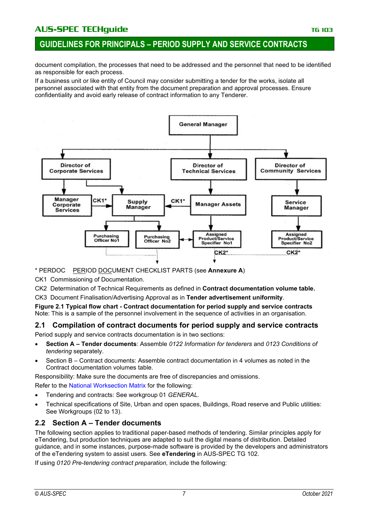### **GUIDELINES FOR PRINCIPALS – PERIOD SUPPLY AND SERVICE CONTRACTS**

document compilation, the processes that need to be addressed and the personnel that need to be identified as responsible for each process.

If a business unit or like entity of Council may consider submitting a tender for the works, isolate all personnel associated with that entity from the document preparation and approval processes. Ensure confidentiality and avoid early release of contract information to any Tenderer.



\* PERDOC PERIOD DOCUMENT CHECKLIST PARTS (see **Annexure A**)

CK1 Commissioning of Documentation.

CK2 Determination of Technical Requirements as defined in **Contract documentation volume table.**

CK3 Document Finalisation/Advertising Approval as in **Tender advertisement uniformity**.

**Figure 2.1 Typical flow chart - Contract documentation for period supply and service contracts** Note: This is a sample of the personnel involvement in the sequence of activities in an organisation.

# **2.1 Compilation of contract documents for period supply and service contracts**

Period supply and service contracts documentation is in two sections:

- **Section A – Tender documents**: Assemble *0122 Information for tenderers* and *0123 Conditions of tendering* separately.
- Section B Contract documents: Assemble contract documentation in 4 volumes as noted in the Contract documentation volumes table.

Responsibility: Make sure the documents are free of discrepancies and omissions. Refer to the [National Worksection Matrix](http://www.natspec.com.au/Documents/National%20worksection%20matrix.pdf) for the following:

- Tendering and contracts: See workgroup 01 *GENERAL.*
- Technical specifications of Site, Urban and open spaces, Buildings, Road reserve and Public utilities: See Workgroups (02 to 13).

### **2.2 Section A – Tender documents**

The following section applies to traditional paper-based methods of tendering. Similar principles apply for eTendering, but production techniques are adapted to suit the digital means of distribution. Detailed guidance, and in some instances, purpose-made software is provided by the developers and administrators of the eTendering system to assist users. See **eTendering** in AUS-SPEC TG 102.

If using *0120 Pre-tendering contract preparation,* include the following: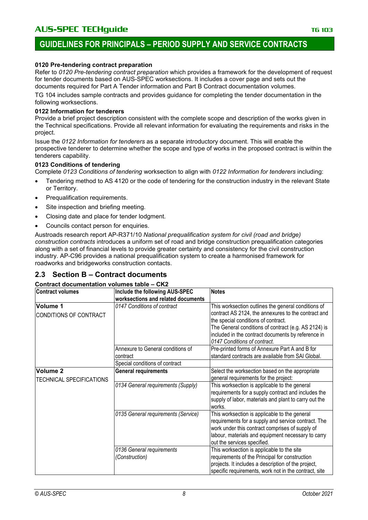### **GUIDELINES FOR PRINCIPALS – PERIOD SUPPLY AND SERVICE CONTRACTS**

#### **0120 Pre-tendering contract preparation**

Refer to *0120 Pre-tendering contract preparation* which provides a framework for the development of request for tender documents based on AUS-SPEC worksections. It includes a cover page and sets out the documents required for Part A Tender information and Part B Contract documentation volumes.

TG 104 includes sample contracts and provides guidance for completing the tender documentation in the following worksections.

#### **0122 Information for tenderers**

Provide a brief project description consistent with the complete scope and description of the works given in the Technical specifications. Provide all relevant information for evaluating the requirements and risks in the project.

Issue the *0122 Information for tenderers* as a separate introductory document. This will enable the prospective tenderer to determine whether the scope and type of works in the proposed contract is within the tenderers capability.

#### **0123 Conditions of tendering**

Complete *0123 Conditions of tendering* worksection to align with *0122 Information for tenderers* including:

- Tendering method to AS 4120 or the code of tendering for the construction industry in the relevant State or Territory.
- Prequalification requirements.
- Site inspection and briefing meeting.
- Closing date and place for tender lodgment.
- Councils contact person for enquiries.

Austroads research report AP-R371/10 *National prequalification system for civil (road and bridge) construction contracts* introduces a uniform set of road and bridge construction prequalification categories along with a set of financial levels to provide greater certainty and consistency for the civil construction industry. AP-C96 provides a national prequalification system to create a harmonised framework for roadworks and bridgeworks construction contacts.

#### **2.3 Section B – Contract documents**

#### **Contract documentation volumes table – CK2**

| <b>Contract volumes</b>                         | Include the following AUS-SPEC                | <b>Notes</b>                                                                                                                                                                                                                                                                                    |
|-------------------------------------------------|-----------------------------------------------|-------------------------------------------------------------------------------------------------------------------------------------------------------------------------------------------------------------------------------------------------------------------------------------------------|
|                                                 | worksections and related documents            |                                                                                                                                                                                                                                                                                                 |
| Volume 1<br>CONDITIONS OF CONTRACT              | 0147 Conditions of contract                   | This worksection outlines the general conditions of<br>contract AS 2124, the annexures to the contract and<br>the special conditions of contract.<br>The General conditions of contract (e.g. AS 2124) is<br>included in the contract documents by reference in<br>0147 Conditions of contract. |
|                                                 | Annexure to General conditions of<br>contract | Pre-printed forms of Annexure Part A and B for<br>standard contracts are available from SAI Global.                                                                                                                                                                                             |
|                                                 | Special conditions of contract                |                                                                                                                                                                                                                                                                                                 |
| Volume <sub>2</sub><br>TECHNICAL SPECIFICATIONS | <b>General requirements</b>                   | Select the worksection based on the appropriate<br>general requirements for the project:                                                                                                                                                                                                        |
|                                                 | 0134 General requirements (Supply)            | This worksection is applicable to the general<br>requirements for a supply contract and includes the<br>supply of labor, materials and plant to carry out the<br>works.                                                                                                                         |
|                                                 | 0135 General requirements (Service)           | This worksection is applicable to the general<br>requirements for a supply and service contract. The<br>work under this contract comprises of supply of<br>labour, materials and equipment necessary to carry<br>out the services specified.                                                    |
|                                                 | 0136 General requirements<br>(Construction)   | This worksection is applicable to the site<br>requirements of the Principal for construction<br>projects. It includes a description of the project,<br>specific requirements, work not in the contract, site                                                                                    |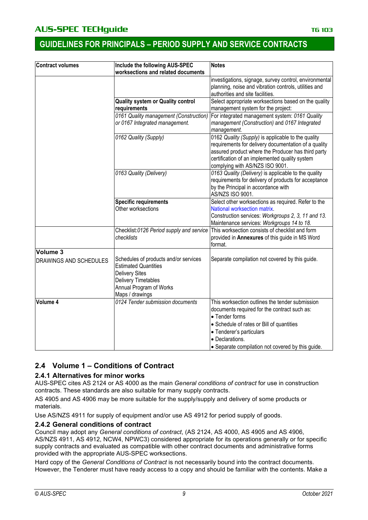| <b>Contract volumes</b>       | Include the following AUS-SPEC                                                                | <b>Notes</b>                                                                        |  |
|-------------------------------|-----------------------------------------------------------------------------------------------|-------------------------------------------------------------------------------------|--|
|                               | worksections and related documents                                                            |                                                                                     |  |
|                               |                                                                                               | investigations, signage, survey control, environmental                              |  |
|                               |                                                                                               | planning, noise and vibration controls, utilities and                               |  |
|                               |                                                                                               | authorities and site facilities.                                                    |  |
|                               | Quality system or Quality control                                                             | Select appropriate worksections based on the quality                                |  |
|                               | requirements                                                                                  | management system for the project:                                                  |  |
|                               | 0161 Quality management (Construction)                                                        | For integrated management system: 0161 Quality                                      |  |
|                               | or 0167 Integrated management.                                                                | management (Construction) and 0167 Integrated<br>management.                        |  |
|                               | 0162 Quality (Supply)                                                                         | 0162 Quality (Supply) is applicable to the quality                                  |  |
|                               |                                                                                               | requirements for delivery documentation of a quality                                |  |
|                               |                                                                                               | assured product where the Producer has third party                                  |  |
|                               |                                                                                               | certification of an implemented quality system                                      |  |
|                               |                                                                                               | complying with AS/NZS ISO 9001.                                                     |  |
|                               | 0163 Quality (Delivery)                                                                       | 0163 Quality (Delivery) is applicable to the quality                                |  |
|                               |                                                                                               | requirements for delivery of products for acceptance                                |  |
|                               |                                                                                               | by the Principal in accordance with                                                 |  |
|                               |                                                                                               | AS/NZS ISO 9001.                                                                    |  |
|                               | <b>Specific requirements</b><br>Other worksections                                            | Select other worksections as required. Refer to the<br>National worksection matrix. |  |
|                               |                                                                                               | Construction services: Workgroups 2, 3, 11 and 13.                                  |  |
|                               |                                                                                               | Maintenance services: Workgroups 14 to 18.                                          |  |
|                               | Checklist:0126 Period supply and service                                                      | This worksection consists of checklist and form                                     |  |
|                               | checklists                                                                                    | provided in Annexures of this guide in MS Word                                      |  |
|                               |                                                                                               | format.                                                                             |  |
| Volume 3                      |                                                                                               |                                                                                     |  |
| <b>DRAWINGS AND SCHEDULES</b> | Schedules of products and/or services<br><b>Estimated Quantities</b><br><b>Delivery Sites</b> | Separate compilation not covered by this guide.                                     |  |
|                               | <b>Delivery Timetables</b>                                                                    |                                                                                     |  |
|                               | Annual Program of Works                                                                       |                                                                                     |  |
|                               | Maps / drawings                                                                               |                                                                                     |  |
| Volume 4                      | 0124 Tender submission documents                                                              | This worksection outlines the tender submission                                     |  |
|                               |                                                                                               | documents required for the contract such as:                                        |  |
|                               |                                                                                               | • Tender forms                                                                      |  |
|                               |                                                                                               | • Schedule of rates or Bill of quantities                                           |  |
|                               |                                                                                               | • Tenderer's particulars                                                            |  |
|                               |                                                                                               | · Declarations.                                                                     |  |
|                               |                                                                                               | • Separate compilation not covered by this guide.                                   |  |

### **2.4 Volume 1 – Conditions of Contract**

#### **2.4.1 Alternatives for minor works**

AUS-SPEC cites AS 2124 or AS 4000 as the main *General conditions of contract* for use in construction contracts. These standards are also suitable for many supply contracts.

AS 4905 and AS 4906 may be more suitable for the supply/supply and delivery of some products or materials.

Use AS/NZS 4911 for supply of equipment and/or use AS 4912 for period supply of goods.

#### **2.4.2 General conditions of contract**

Council may adopt any *General conditions of contract*, (AS 2124, AS 4000, AS 4905 and AS 4906, AS/NZS 4911, AS 4912, NCW4, NPWC3) considered appropriate for its operations generally or for specific supply contracts and evaluated as compatible with other contract documents and administrative forms provided with the appropriate AUS-SPEC worksections.

Hard copy of the *General Conditions of Contract* is not necessarily bound into the contract documents. However, the Tenderer must have ready access to a copy and should be familiar with the contents. Make a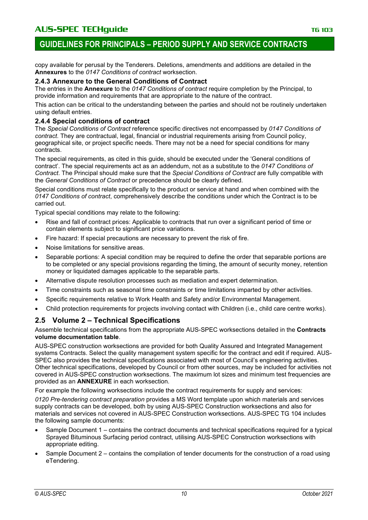### **GUIDELINES FOR PRINCIPALS – PERIOD SUPPLY AND SERVICE CONTRACTS**

copy available for perusal by the Tenderers. Deletions, amendments and additions are detailed in the **Annexures** to the *0147 Conditions of contract* worksection.

#### **2.4.3 Annexure to the General Conditions of Contract**

The entries in the **Annexure** to the *0147 Conditions of contract* require completion by the Principal, to provide information and requirements that are appropriate to the nature of the contract.

This action can be critical to the understanding between the parties and should not be routinely undertaken using default entries.

#### **2.4.4 Special conditions of contract**

The *Special Conditions of Contract* reference specific directives not encompassed by *0147 Conditions of contract*. They are contractual, legal, financial or industrial requirements arising from Council policy, geographical site, or project specific needs. There may not be a need for special conditions for many contracts.

The special requirements, as cited in this guide, should be executed under the 'General conditions of contract'. The special requirements act as an addendum, not as a substitute to the *0147 Conditions of Contract*. The Principal should make sure that the *Special Conditions of Contract* are fully compatible with the *General Conditions of Contract* or precedence should be clearly defined.

Special conditions must relate specifically to the product or service at hand and when combined with the *0147 Conditions of contract*, comprehensively describe the conditions under which the Contract is to be carried out.

Typical special conditions may relate to the following:

- Rise and fall of contract prices: Applicable to contracts that run over a significant period of time or contain elements subject to significant price variations.
- Fire hazard: If special precautions are necessary to prevent the risk of fire.
- Noise limitations for sensitive areas.
- Separable portions: A special condition may be required to define the order that separable portions are to be completed or any special provisions regarding the timing, the amount of security money, retention money or liquidated damages applicable to the separable parts.
- Alternative dispute resolution processes such as mediation and expert determination.
- Time constraints such as seasonal time constraints or time limitations imparted by other activities.
- Specific requirements relative to Work Health and Safety and/or Environmental Management.
- Child protection requirements for projects involving contact with Children (i.e., child care centre works).

### **2.5 Volume 2 – Technical Specifications**

Assemble technical specifications from the appropriate AUS-SPEC worksections detailed in the **Contracts volume documentation table**.

AUS-SPEC construction worksections are provided for both Quality Assured and Integrated Management systems Contracts. Select the quality management system specific for the contract and edit if required. AUS-SPEC also provides the technical specifications associated with most of Council's engineering activities. Other technical specifications, developed by Council or from other sources, may be included for activities not covered in AUS-SPEC construction worksections. The maximum lot sizes and minimum test frequencies are provided as an **ANNEXURE** in each worksection.

For example the following worksections include the contract requirements for supply and services:

*0120 Pre-tendering contract preparation* provides a MS Word template upon which materials and services supply contracts can be developed, both by using AUS-SPEC Construction worksections and also for materials and services not covered in AUS-SPEC Construction worksections. AUS-SPEC TG 104 includes the following sample documents:

- Sample Document 1 contains the contract documents and technical specifications required for a typical Sprayed Bituminous Surfacing period contract, utilising AUS-SPEC Construction worksections with appropriate editing.
- Sample Document 2 contains the compilation of tender documents for the construction of a road using eTendering.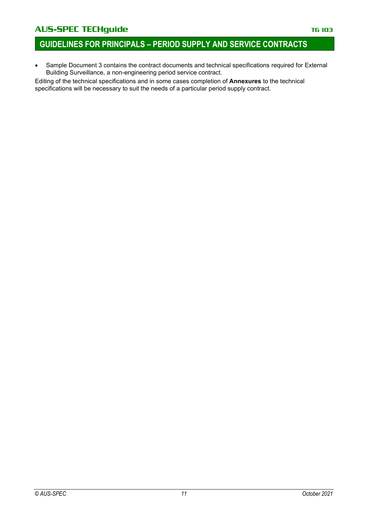### AUS-SPEC TECHguide **TECHGUIDE TECHGUIDE TELES IN THE 103**

• Sample Document 3 contains the contract documents and technical specifications required for External Building Surveillance, a non-engineering period service contract.

Editing of the technical specifications and in some cases completion of **Annexures** to the technical specifications will be necessary to suit the needs of a particular period supply contract.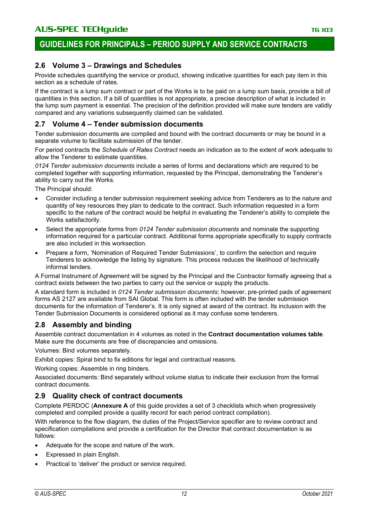### **2.6 Volume 3 – Drawings and Schedules**

Provide schedules quantifying the service or product, showing indicative quantities for each pay item in this section as a schedule of rates.

If the contract is a lump sum contract or part of the Works is to be paid on a lump sum basis, provide a bill of quantities in this section. If a bill of quantities is not appropriate, a precise description of what is included in the lump sum payment is essential. The precision of the definition provided will make sure tenders are validly compared and any variations subsequently claimed can be validated.

#### **2.7 Volume 4 – Tender submission documents**

Tender submission documents are compiled and bound with the contract documents or may be bound in a separate volume to facilitate submission of the tender.

For period contracts the *Schedule of Rates Contract* needs an indication as to the extent of work adequate to allow the Tenderer to estimate quantities.

*0124 Tender submission documents* include a series of forms and declarations which are required to be completed together with supporting information, requested by the Principal, demonstrating the Tenderer's ability to carry out the Works.

The Principal should:

- Consider including a tender submission requirement seeking advice from Tenderers as to the nature and quantity of key resources they plan to dedicate to the contract. Such information requested in a form specific to the nature of the contract would be helpful in evaluating the Tenderer's ability to complete the Works satisfactorily.
- Select the appropriate forms from *0124 Tender submission documents* and nominate the supporting information required for a particular contract. Additional forms appropriate specifically to supply contracts are also included in this worksection.
- Prepare a form, 'Nomination of Required Tender Submissions', to confirm the selection and require Tenderers to acknowledge the listing by signature. This process reduces the likelihood of technically informal tenders.

A Formal Instrument of Agreement will be signed by the Principal and the Contractor formally agreeing that a contract exists between the two parties to carry out the service or supply the products.

A standard form is included in *0124 Tender submission documents*; however, pre-printed pads of agreement forms AS 2127 are available from SAI Global. This form is often included with the tender submission documents for the information of Tenderer's. It is only signed at award of the contract. Its inclusion with the Tender Submission Documents is considered optional as it may confuse some tenderers.

### **2.8 Assembly and binding**

Assemble contract documentation in 4 volumes as noted in the **Contract documentation volumes table**. Make sure the documents are free of discrepancies and omissions.

Volumes: Bind volumes separately.

Exhibit copies: Spiral bind to fix editions for legal and contractual reasons.

Working copies: Assemble in ring binders.

Associated documents: Bind separately without volume status to indicate their exclusion from the formal contract documents.

### **2.9 Quality check of contract documents**

Complete PERDOC (**Annexure A** of this guide provides a set of 3 checklists which when progressively completed and compiled provide a quality record for each period contract compilation).

With reference to the flow diagram, the duties of the Project/Service specifier are to review contract and specification compilations and provide a certification for the Director that contract documentation is as follows:

- Adequate for the scope and nature of the work.
- Expressed in plain English.
- Practical to 'deliver' the product or service required.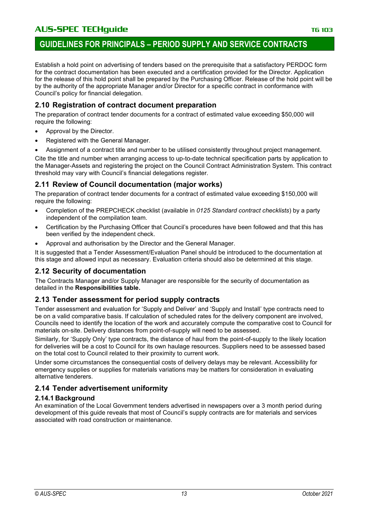Establish a hold point on advertising of tenders based on the prerequisite that a satisfactory PERDOC form for the contract documentation has been executed and a certification provided for the Director. Application for the release of this hold point shall be prepared by the Purchasing Officer. Release of the hold point will be by the authority of the appropriate Manager and/or Director for a specific contract in conformance with Council's policy for financial delegation.

### **2.10 Registration of contract document preparation**

The preparation of contract tender documents for a contract of estimated value exceeding \$50,000 will require the following:

- Approval by the Director.
- Registered with the General Manager.
- Assignment of a contract title and number to be utilised consistently throughout project management.

Cite the title and number when arranging access to up-to-date technical specification parts by application to the Manager-Assets and registering the project on the Council Contract Administration System. This contract threshold may vary with Council's financial delegations register.

### **2.11 Review of Council documentation (major works)**

The preparation of contract tender documents for a contract of estimated value exceeding \$150,000 will require the following:

- Completion of the PREPCHECK checklist (available in *0125 Standard contract checklists*) by a party independent of the compilation team.
- Certification by the Purchasing Officer that Council's procedures have been followed and that this has been verified by the independent check.
- Approval and authorisation by the Director and the General Manager.

It is suggested that a Tender Assessment/Evaluation Panel should be introduced to the documentation at this stage and allowed input as necessary. Evaluation criteria should also be determined at this stage.

### **2.12 Security of documentation**

The Contracts Manager and/or Supply Manager are responsible for the security of documentation as detailed in the **Responsibilities table.**

### **2.13 Tender assessment for period supply contracts**

Tender assessment and evaluation for 'Supply and Deliver' and 'Supply and Install' type contracts need to be on a valid comparative basis. If calculation of scheduled rates for the delivery component are involved, Councils need to identify the location of the work and accurately compute the comparative cost to Council for materials on-site. Delivery distances from point-of-supply will need to be assessed.

Similarly, for 'Supply Only' type contracts, the distance of haul from the point-of-supply to the likely location for deliveries will be a cost to Council for its own haulage resources. Suppliers need to be assessed based on the total cost to Council related to their proximity to current work.

Under some circumstances the consequential costs of delivery delays may be relevant. Accessibility for emergency supplies or supplies for materials variations may be matters for consideration in evaluating alternative tenderers.

### **2.14 Tender advertisement uniformity**

#### **2.14.1 Background**

An examination of the Local Government tenders advertised in newspapers over a 3 month period during development of this guide reveals that most of Council's supply contracts are for materials and services associated with road construction or maintenance.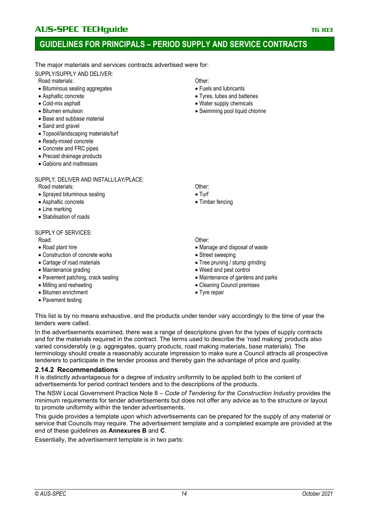### **GUIDELINES FOR PRINCIPALS – PERIOD SUPPLY AND SERVICE CONTRACTS**

The major materials and services contracts advertised were for:

SUPPLY/SUPPLY AND DELIVER:

Road materials: **Contract Contract Contract Contract Contract Contract Contract Contract Contract Contract Contract Contract Contract Contract Contract Contract Contract Contract Contract Contract Contract Contract Contrac** 

- Bituminous sealing aggregates
- Asphaltic concrete
- Cold-mix asphalt
- Bitumen emulsion
- Base and subbase material
- Sand and gravel
- Topsoil/landscaping materials/turf
- Ready-mixed concrete
- Concrete and FRC pipes
- Precast drainage products
- Gabions and mattresses

#### SUPPLY, DELIVER AND INSTALL/LAY/PLACE:

Road materials: Channels: Channels: Channels: Channels: Channels: Channels: Channels: Channels: Channels: Channels: Channels: Channels: Channels: Channels: Channels: Channels: Channels: Channels: Channels: Channels: Channe

- Sprayed bituminous sealing
- Asphaltic concrete
- Line marking
- Stabilisation of roads

SUPPLY OF SERVICES:

Road: Cheronic Control Control of the Control of the Control Control Control Other:

- Road plant hire
- Construction of concrete works
- Cartage of road materials
- Maintenance grading
- Pavement patching, crack sealing
- Milling and resheeting
- Bitumen enrichment
- Pavement testing
- 
- Fuels and lubricants
- Tyres, tubes and batteries
- Water supply chemicals
- Swimming pool liquid chlorine

- Turf
- Timber fencing

- Manage and disposal of waste
- Street sweeping
- Tree pruning / stump grinding
- Weed and pest control
- Maintenance of gardens and parks
- Cleaning Council premises
- Tyre repair

This list is by no means exhaustive, and the products under tender vary accordingly to the time of year the tenders were called.

In the advertisements examined, there was a range of descriptions given for the types of supply contracts and for the materials required in the contract. The terms used to describe the 'road making' products also varied considerably (e.g. aggregates, quarry products, road making materials, base materials). The terminology should create a reasonably accurate impression to make sure a Council attracts all prospective tenderers to participate in the tender process and thereby gain the advantage of price and quality.

#### **2.14.2 Recommendations**

It is distinctly advantageous for a degree of industry uniformity to be applied both to the content of advertisements for period contract tenders and to the descriptions of the products.

The NSW Local Government Practice Note 8 – *Code of Tendering for the Construction Industry* provides the minimum requirements for tender advertisements but does not offer any advice as to the structure or layout to promote uniformity within the tender advertisements.

This guide provides a template upon which advertisements can be prepared for the supply of any material or service that Councils may require. The advertisement template and a completed example are provided at the end of these guidelines as **Annexures B** and **C**.

Essentially, the advertisement template is in two parts: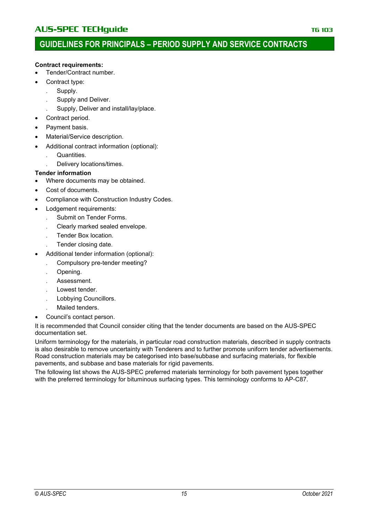#### **Contract requirements:**

- Tender/Contract number.
- Contract type:
	- . Supply.
	- . Supply and Deliver.
	- . Supply, Deliver and install/lay/place.
- Contract period.
- Payment basis.
- Material/Service description.
- Additional contract information (optional):
	- . Quantities.
	- . Delivery locations/times.

#### **Tender information**

- Where documents may be obtained.
- Cost of documents.
- Compliance with Construction Industry Codes.
- Lodgement requirements:
	- . Submit on Tender Forms.
	- . Clearly marked sealed envelope.
	- . Tender Box location.
	- . Tender closing date.
- Additional tender information (optional):
	- . Compulsory pre-tender meeting?
	- . Opening.
	- . Assessment.
	- . Lowest tender.
	- . Lobbying Councillors.
	- . Mailed tenders.
- Council's contact person.

It is recommended that Council consider citing that the tender documents are based on the AUS-SPEC documentation set.

Uniform terminology for the materials, in particular road construction materials, described in supply contracts is also desirable to remove uncertainty with Tenderers and to further promote uniform tender advertisements. Road construction materials may be categorised into base/subbase and surfacing materials, for flexible pavements, and subbase and base materials for rigid pavements.

The following list shows the AUS-SPEC preferred materials terminology for both pavement types together with the preferred terminology for bituminous surfacing types. This terminology conforms to AP-C87.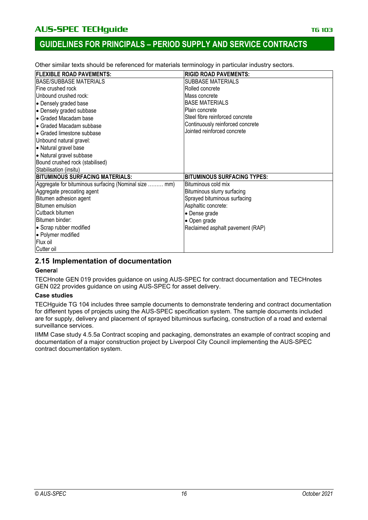Other similar texts should be referenced for materials terminology in particular industry sectors.

| <b>FLEXIBLE ROAD PAVEMENTS:</b>                       | <b>RIGID ROAD PAVEMENTS:</b>       |
|-------------------------------------------------------|------------------------------------|
| BASE/SUBBASE MATERIALS                                | <b>SUBBASE MATERIALS</b>           |
| Fine crushed rock                                     | Rolled concrete                    |
| Unbound crushed rock:                                 | Mass concrete                      |
| • Densely graded base                                 | <b>BASE MATERIALS</b>              |
| • Densely graded subbase                              | Plain concrete                     |
| • Graded Macadam base                                 | Steel fibre reinforced concrete    |
| • Graded Macadam subbase                              | Continuously reinforced concrete   |
| • Graded limestone subbase                            | Jointed reinforced concrete        |
| Unbound natural gravel:                               |                                    |
| • Natural gravel base                                 |                                    |
| • Natural gravel subbase                              |                                    |
| Bound crushed rock (stabilised)                       |                                    |
| Stabilisation (insitu)                                |                                    |
| <b>BITUMINOUS SURFACING MATERIALS:</b>                | <b>BITUMINOUS SURFACING TYPES:</b> |
| Aggregate for bituminous surfacing (Nominal size  mm) | Bituminous cold mix                |
| Aggregate precoating agent                            | Bituminous slurry surfacing        |
| Bitumen adhesion agent                                | Sprayed bituminous surfacing       |
| Bitumen emulsion                                      | Asphaltic concrete:                |
| Cutback bitumen                                       | • Dense grade                      |
| Bitumen binder:                                       | • Open grade                       |
| • Scrap rubber modified                               | Reclaimed asphalt pavement (RAP)   |
| · Polymer modified                                    |                                    |
| Flux oil                                              |                                    |
| Cutter oil                                            |                                    |

### **2.15 Implementation of documentation**

#### **Genera**l

TECHnote GEN 019 provides guidance on using AUS-SPEC for contract documentation and TECHnotes GEN 022 provides guidance on using AUS-SPEC for asset delivery.

#### **Case studies**

TECHguide TG 104 includes three sample documents to demonstrate tendering and contract documentation for different types of projects using the AUS-SPEC specification system. The sample documents included are for supply, delivery and placement of sprayed bituminous surfacing, construction of a road and external surveillance services.

IIMM Case study 4.5.5a Contract scoping and packaging, demonstrates an example of contract scoping and documentation of a major construction project by Liverpool City Council implementing the AUS-SPEC contract documentation system.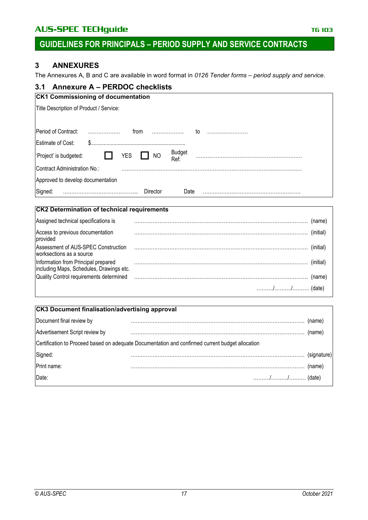### AUS-SPEC TECHguide **TECHGUIDE TECHGUIDE TELES IN THE 103**

# **GUIDELINES FOR PRINCIPALS – PERIOD SUPPLY AND SERVICE CONTRACTS**

### **3 ANNEXURES**

The Annexures A, B and C are available in word format in *0126 Tender forms – period supply and service*.

### **3.1 Annexure A – PERDOC checklists**

| <b>CK1 Commissioning of documentation</b>                                  |
|----------------------------------------------------------------------------|
| Title Description of Product / Service:                                    |
|                                                                            |
| Period of Contract:<br>.<br>.<br>from<br>to                                |
| Estimate of Cost:<br>\$.                                                   |
| <b>Budget</b><br><b>YES</b><br><b>NO</b><br>'Project' is budgeted:<br>Ref: |
| Contract Administration No.:                                               |
| Approved to develop documentation                                          |
| Signed:<br>Director<br>Date                                                |

#### **CK2 Determination of technical requirements**

| Assigned technical specifications is                                             |           |
|----------------------------------------------------------------------------------|-----------|
| Access to previous documentation<br>provided                                     | (initial) |
| Assessment of AUS-SPEC Construction<br>worksections as a source                  | (initial) |
| Information from Principal prepared<br> including Maps, Schedules, Drawings etc. | (initial) |
|                                                                                  | (name)    |
|                                                                                  |           |

### **CK3 Document finalisation/advertising approval**

| Document final review by       |                                                                                                  | (name) |
|--------------------------------|--------------------------------------------------------------------------------------------------|--------|
| Advertisement Script review by |                                                                                                  | (name) |
|                                | Certification to Proceed based on adequate Documentation and confirmed current budget allocation |        |
| Signed:<br>Print name:         |                                                                                                  |        |
|                                |                                                                                                  | (name) |
| Date:                          |                                                                                                  |        |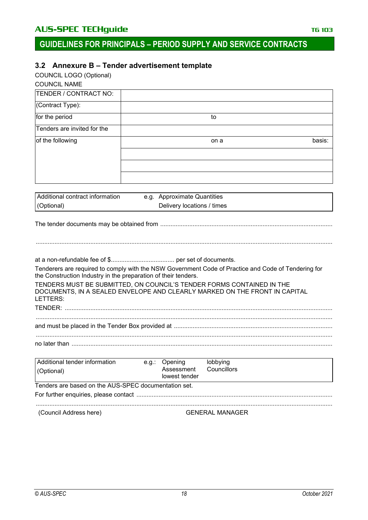### **3.2 Annexure B – Tender advertisement template**

COUNCIL LOGO (Optional)

| <b>COUNCIL NAME</b>         |      |        |
|-----------------------------|------|--------|
| TENDER / CONTRACT NO:       |      |        |
| (Contract Type):            |      |        |
| for the period              | to   |        |
| Tenders are invited for the |      |        |
| of the following            | on a | basis: |
|                             |      |        |
|                             |      |        |
|                             |      |        |

| Additional contract information | e.g. Approximate Quantities |  |
|---------------------------------|-----------------------------|--|
| (Optional)                      | Delivery locations / times  |  |

The tender documents may be obtained from .....................................................................................................

at a non-refundable fee of \$..................................... per set of documents.

Tenderers are required to comply with the NSW Government Code of Practice and Code of Tendering for the Construction Industry in the preparation of their tenders.

TENDERS MUST BE SUBMITTED, ON COUNCIL'S TENDER FORMS CONTAINED IN THE DOCUMENTS, IN A SEALED ENVELOPE AND CLEARLY MARKED ON THE FRONT IN CAPITAL LETTERS:

TENDER: ............................................................................................................................................................. .............................................................................................................................................................................. and must be placed in the Tender Box provided at .............................................................................................

| no later |  |  |  |
|----------|--|--|--|

| Additional tender information<br>(Optional)          |  | e.g.: Opening<br>Assessment<br>lowest tender | lobbying<br>Councillors |  |  |  |
|------------------------------------------------------|--|----------------------------------------------|-------------------------|--|--|--|
| Tenders are based on the AUS-SPEC documentation set. |  |                                              |                         |  |  |  |
|                                                      |  |                                              |                         |  |  |  |
|                                                      |  |                                              |                         |  |  |  |
| (Council Address here)                               |  |                                              | <b>GENERAL MANAGER</b>  |  |  |  |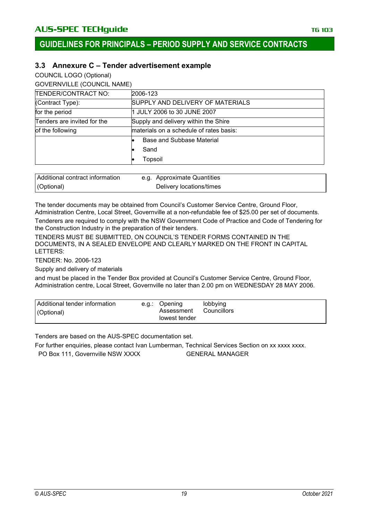### **3.3 Annexure C – Tender advertisement example**

COUNCIL LOGO (Optional)

GOVERNVILLE (COUNCIL NAME)

| TENDER/CONTRACT NO:         | 2006-123                                |  |  |
|-----------------------------|-----------------------------------------|--|--|
| (Contract Type):            | SUPPLY AND DELIVERY OF MATERIALS        |  |  |
| for the period              | 1 JULY 2006 to 30 JUNE 2007             |  |  |
| Tenders are invited for the | Supply and delivery within the Shire    |  |  |
| of the following            | materials on a schedule of rates basis: |  |  |
|                             | Base and Subbase Material               |  |  |
|                             | Sand                                    |  |  |
|                             | Topsoil                                 |  |  |

| Additional contract information | e.g. Approximate Quantities |
|---------------------------------|-----------------------------|
| (Optional)                      | Delivery locations/times    |

The tender documents may be obtained from Council's Customer Service Centre, Ground Floor, Administration Centre, Local Street, Governville at a non-refundable fee of \$25.00 per set of documents.

Tenderers are required to comply with the NSW Government Code of Practice and Code of Tendering for the Construction Industry in the preparation of their tenders.

TENDERS MUST BE SUBMITTED, ON COUNCIL'S TENDER FORMS CONTAINED IN THE DOCUMENTS, IN A SEALED ENVELOPE AND CLEARLY MARKED ON THE FRONT IN CAPITAL LETTERS:

TENDER: No. 2006-123

Supply and delivery of materials

and must be placed in the Tender Box provided at Council's Customer Service Centre, Ground Floor, Administration centre, Local Street, Governville no later than 2.00 pm on WEDNESDAY 28 MAY 2006.

| <b>Additional tender information</b><br>(Optional) | e.g.: Opening<br>Assessment<br>lowest tender | lobbying<br>Councillors |
|----------------------------------------------------|----------------------------------------------|-------------------------|
|                                                    |                                              |                         |

Tenders are based on the AUS-SPEC documentation set.

For further enquiries, please contact Ivan Lumberman, Technical Services Section on xx xxxx xxxx. PO Box 111, Governville NSW XXXX GENERAL MANAGER